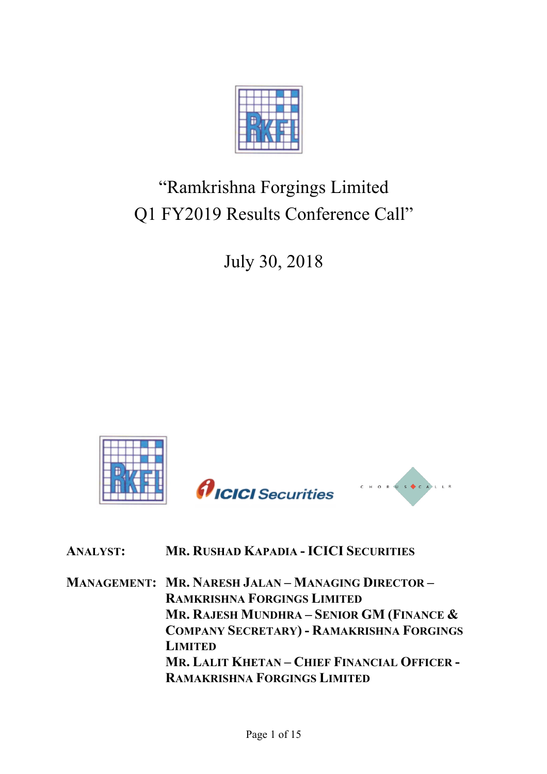

## "Ramkrishna Forgings Limited Q1 FY2019 Results Conference Call"

July 30, 2018



## **ANALYST: MR. RUSHAD KAPADIA - ICICI SECURITIES**

**MANAGEMENT: MR. NARESH JALAN – MANAGING DIRECTOR – RAMKRISHNA FORGINGS LIMITED MR. RAJESH MUNDHRA – SENIOR GM (FINANCE & COMPANY SECRETARY) - RAMAKRISHNA FORGINGS LIMITED MR. LALIT KHETAN – CHIEF FINANCIAL OFFICER - RAMAKRISHNA FORGINGS LIMITED**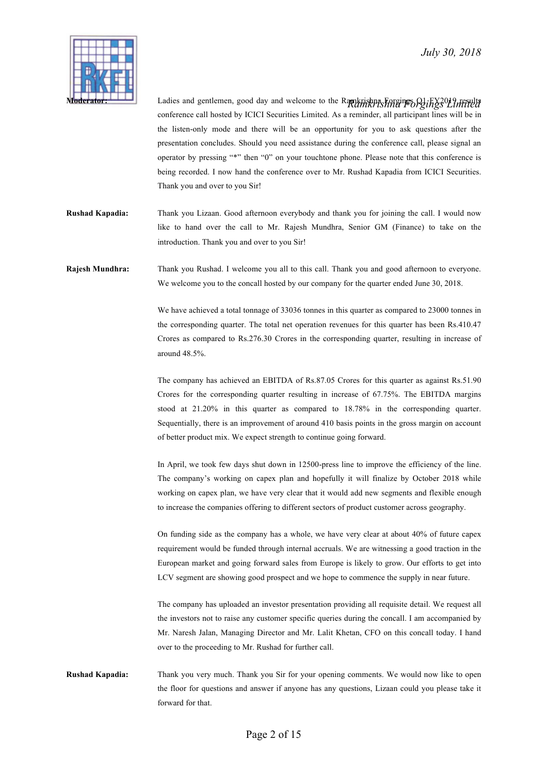

**Moderator:** Ladies and gentlemen, good day and welcome to the Ramkrishna Forgings Q1 FX2019 results conference call hosted by ICICI Securities Limited. As a reminder, all participant lines will be in the listen-only mode and there will be an opportunity for you to ask questions after the presentation concludes. Should you need assistance during the conference call, please signal an operator by pressing "\*" then "0" on your touchtone phone. Please note that this conference is being recorded. I now hand the conference over to Mr. Rushad Kapadia from ICICI Securities. Thank you and over to you Sir!

**Rushad Kapadia:** Thank you Lizaan. Good afternoon everybody and thank you for joining the call. I would now like to hand over the call to Mr. Rajesh Mundhra, Senior GM (Finance) to take on the introduction. Thank you and over to you Sir!

**Rajesh Mundhra:** Thank you Rushad. I welcome you all to this call. Thank you and good afternoon to everyone. We welcome you to the concall hosted by our company for the quarter ended June 30, 2018.

> We have achieved a total tonnage of 33036 tonnes in this quarter as compared to 23000 tonnes in the corresponding quarter. The total net operation revenues for this quarter has been Rs.410.47 Crores as compared to Rs.276.30 Crores in the corresponding quarter, resulting in increase of around 48.5%.

> The company has achieved an EBITDA of Rs.87.05 Crores for this quarter as against Rs.51.90 Crores for the corresponding quarter resulting in increase of 67.75%. The EBITDA margins stood at 21.20% in this quarter as compared to 18.78% in the corresponding quarter. Sequentially, there is an improvement of around 410 basis points in the gross margin on account of better product mix. We expect strength to continue going forward.

> In April, we took few days shut down in 12500-press line to improve the efficiency of the line. The company's working on capex plan and hopefully it will finalize by October 2018 while working on capex plan, we have very clear that it would add new segments and flexible enough to increase the companies offering to different sectors of product customer across geography.

> On funding side as the company has a whole, we have very clear at about 40% of future capex requirement would be funded through internal accruals. We are witnessing a good traction in the European market and going forward sales from Europe is likely to grow. Our efforts to get into LCV segment are showing good prospect and we hope to commence the supply in near future.

> The company has uploaded an investor presentation providing all requisite detail. We request all the investors not to raise any customer specific queries during the concall. I am accompanied by Mr. Naresh Jalan, Managing Director and Mr. Lalit Khetan, CFO on this concall today. I hand over to the proceeding to Mr. Rushad for further call.

**Rushad Kapadia:** Thank you very much. Thank you Sir for your opening comments. We would now like to open the floor for questions and answer if anyone has any questions, Lizaan could you please take it forward for that.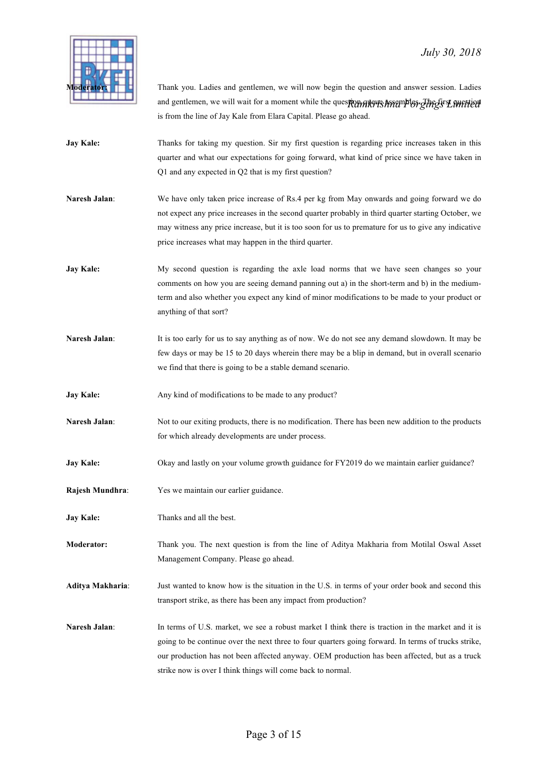

and gentlemen, we will wait for a moment while the quest**ion quere assembles. The first unitied** Thank you. Ladies and gentlemen, we will now begin the question and answer session. Ladies is from the line of Jay Kale from Elara Capital. Please go ahead.

- **Jay Kale:** Thanks for taking my question. Sir my first question is regarding price increases taken in this quarter and what our expectations for going forward, what kind of price since we have taken in Q1 and any expected in Q2 that is my first question?
- **Naresh Jalan**: We have only taken price increase of Rs.4 per kg from May onwards and going forward we do not expect any price increases in the second quarter probably in third quarter starting October, we may witness any price increase, but it is too soon for us to premature for us to give any indicative price increases what may happen in the third quarter.
- **Jay Kale:** My second question is regarding the axle load norms that we have seen changes so your comments on how you are seeing demand panning out a) in the short-term and b) in the mediumterm and also whether you expect any kind of minor modifications to be made to your product or anything of that sort?
- **Naresh Jalan:** It is too early for us to say anything as of now. We do not see any demand slowdown. It may be few days or may be 15 to 20 days wherein there may be a blip in demand, but in overall scenario we find that there is going to be a stable demand scenario.
- **Jay Kale:** Any kind of modifications to be made to any product?
- **Naresh Jalan**: Not to our exiting products, there is no modification. There has been new addition to the products for which already developments are under process.
- **Jay Kale:** Okay and lastly on your volume growth guidance for FY2019 do we maintain earlier guidance?
- **Rajesh Mundhra**: Yes we maintain our earlier guidance.
- **Jay Kale:** Thanks and all the best.
- **Moderator:** Thank you. The next question is from the line of Aditya Makharia from Motilal Oswal Asset Management Company. Please go ahead.
- **Aditya Makharia**: Just wanted to know how is the situation in the U.S. in terms of your order book and second this transport strike, as there has been any impact from production?
- **Naresh Jalan:** In terms of U.S. market, we see a robust market I think there is traction in the market and it is going to be continue over the next three to four quarters going forward. In terms of trucks strike, our production has not been affected anyway. OEM production has been affected, but as a truck strike now is over I think things will come back to normal.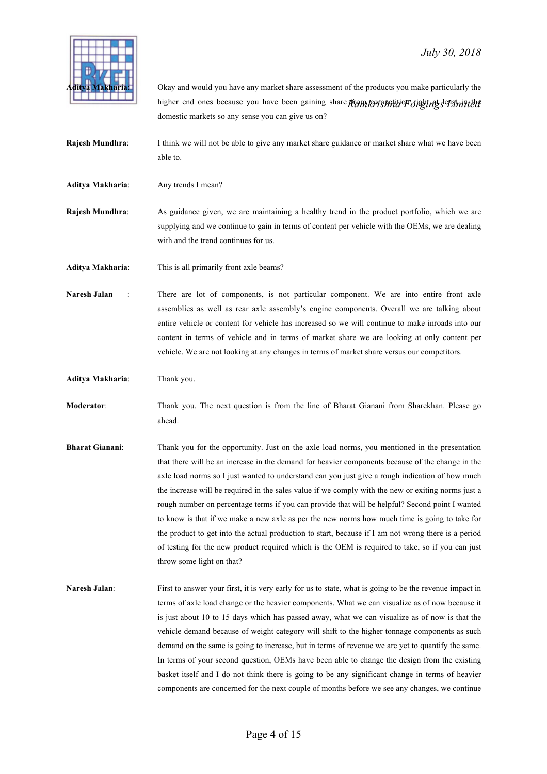

higher end ones because you have been gaining share from *konstrative Toisting sentmitted* Okay and would you have any market share assessment of the products you make particularly the domestic markets so any sense you can give us on?

- **Rajesh Mundhra:** I think we will not be able to give any market share guidance or market share what we have been able to.
- Aditya Makharia: Any trends I mean?
- **Rajesh Mundhra**: As guidance given, we are maintaining a healthy trend in the product portfolio, which we are supplying and we continue to gain in terms of content per vehicle with the OEMs, we are dealing with and the trend continues for us.

**Aditya Makharia**: This is all primarily front axle beams?

- **Naresh Jalan** : There are lot of components, is not particular component. We are into entire front axle assemblies as well as rear axle assembly's engine components. Overall we are talking about entire vehicle or content for vehicle has increased so we will continue to make inroads into our content in terms of vehicle and in terms of market share we are looking at only content per vehicle. We are not looking at any changes in terms of market share versus our competitors.
- **Aditya Makharia**: Thank you.
- **Moderator**: Thank you. The next question is from the line of Bharat Gianani from Sharekhan. Please go ahead.
- **Bharat Gianani**: Thank you for the opportunity. Just on the axle load norms, you mentioned in the presentation that there will be an increase in the demand for heavier components because of the change in the axle load norms so I just wanted to understand can you just give a rough indication of how much the increase will be required in the sales value if we comply with the new or exiting norms just a rough number on percentage terms if you can provide that will be helpful? Second point I wanted to know is that if we make a new axle as per the new norms how much time is going to take for the product to get into the actual production to start, because if I am not wrong there is a period of testing for the new product required which is the OEM is required to take, so if you can just throw some light on that?
- **Naresh Jalan:** First to answer your first, it is very early for us to state, what is going to be the revenue impact in terms of axle load change or the heavier components. What we can visualize as of now because it is just about 10 to 15 days which has passed away, what we can visualize as of now is that the vehicle demand because of weight category will shift to the higher tonnage components as such demand on the same is going to increase, but in terms of revenue we are yet to quantify the same. In terms of your second question, OEMs have been able to change the design from the existing basket itself and I do not think there is going to be any significant change in terms of heavier components are concerned for the next couple of months before we see any changes, we continue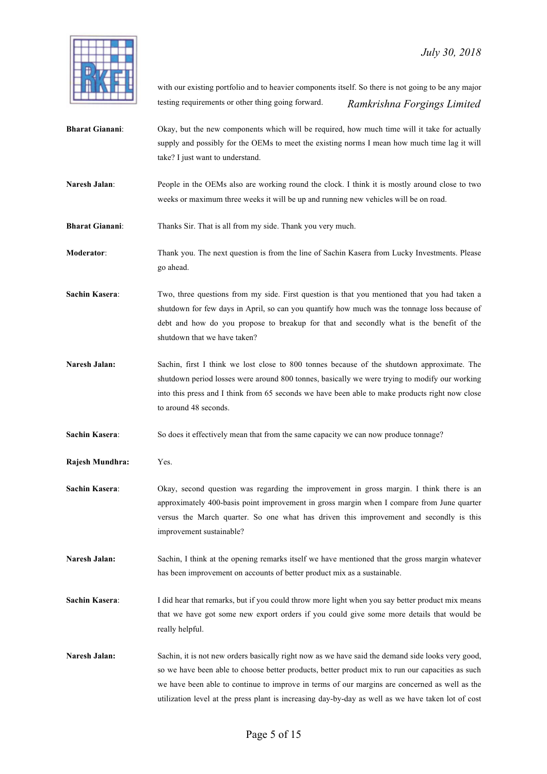

 *Ramkrishna Forgings Limited* with our existing portfolio and to heavier components itself. So there is not going to be any major testing requirements or other thing going forward.

- **Bharat Gianani:** Okay, but the new components which will be required, how much time will it take for actually supply and possibly for the OEMs to meet the existing norms I mean how much time lag it will take? I just want to understand.
- **Naresh Jalan:** People in the OEMs also are working round the clock. I think it is mostly around close to two weeks or maximum three weeks it will be up and running new vehicles will be on road.
- **Bharat Gianani:** Thanks Sir. That is all from my side. Thank you very much.

**Moderator**: Thank you. The next question is from the line of Sachin Kasera from Lucky Investments. Please go ahead.

**Sachin Kasera:** Two, three questions from my side. First question is that you mentioned that you had taken a shutdown for few days in April, so can you quantify how much was the tonnage loss because of debt and how do you propose to breakup for that and secondly what is the benefit of the shutdown that we have taken?

**Naresh Jalan:** Sachin, first I think we lost close to 800 tonnes because of the shutdown approximate. The shutdown period losses were around 800 tonnes, basically we were trying to modify our working into this press and I think from 65 seconds we have been able to make products right now close to around 48 seconds.

**Sachin Kasera:** So does it effectively mean that from the same capacity we can now produce tonnage?

**Rajesh Mundhra:** Yes.

- **Sachin Kasera:** Okay, second question was regarding the improvement in gross margin. I think there is an approximately 400-basis point improvement in gross margin when I compare from June quarter versus the March quarter. So one what has driven this improvement and secondly is this improvement sustainable?
- **Naresh Jalan:** Sachin, I think at the opening remarks itself we have mentioned that the gross margin whatever has been improvement on accounts of better product mix as a sustainable.

**Sachin Kasera:** I did hear that remarks, but if you could throw more light when you say better product mix means that we have got some new export orders if you could give some more details that would be really helpful.

Naresh Jalan: Sachin, it is not new orders basically right now as we have said the demand side looks very good, so we have been able to choose better products, better product mix to run our capacities as such we have been able to continue to improve in terms of our margins are concerned as well as the utilization level at the press plant is increasing day-by-day as well as we have taken lot of cost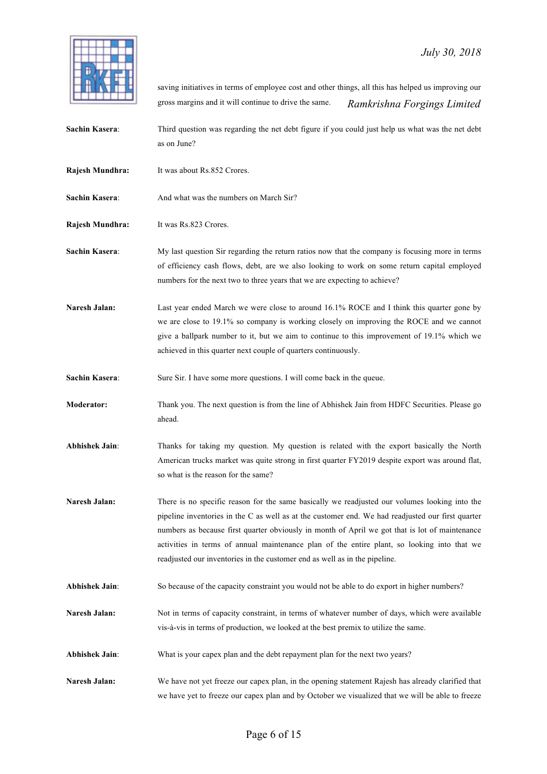

 *Ramkrishna Forgings Limited* saving initiatives in terms of employee cost and other things, all this has helped us improving our gross margins and it will continue to drive the same.

**Sachin Kasera**: Third question was regarding the net debt figure if you could just help us what was the net debt as on June?

- **Rajesh Mundhra:** It was about Rs.852 Crores.
- **Sachin Kasera:** And what was the numbers on March Sir?

**Rajesh Mundhra:** It was Rs.823 Crores.

**Sachin Kasera:** My last question Sir regarding the return ratios now that the company is focusing more in terms of efficiency cash flows, debt, are we also looking to work on some return capital employed numbers for the next two to three years that we are expecting to achieve?

Naresh Jalan: Last year ended March we were close to around 16.1% ROCE and I think this quarter gone by we are close to 19.1% so company is working closely on improving the ROCE and we cannot give a ballpark number to it, but we aim to continue to this improvement of 19.1% which we achieved in this quarter next couple of quarters continuously.

**Sachin Kasera:** Sure Sir. I have some more questions. I will come back in the queue.

**Moderator:** Thank you. The next question is from the line of Abhishek Jain from HDFC Securities. Please go ahead.

**Abhishek Jain**: Thanks for taking my question. My question is related with the export basically the North American trucks market was quite strong in first quarter FY2019 despite export was around flat, so what is the reason for the same?

**Naresh Jalan:** There is no specific reason for the same basically we readjusted our volumes looking into the pipeline inventories in the C as well as at the customer end. We had readjusted our first quarter numbers as because first quarter obviously in month of April we got that is lot of maintenance activities in terms of annual maintenance plan of the entire plant, so looking into that we readjusted our inventories in the customer end as well as in the pipeline.

**Abhishek Jain**: So because of the capacity constraint you would not be able to do export in higher numbers?

**Naresh Jalan:** Not in terms of capacity constraint, in terms of whatever number of days, which were available vis-à-vis in terms of production, we looked at the best premix to utilize the same.

**Abhishek Jain**: What is your capex plan and the debt repayment plan for the next two years?

**Naresh Jalan:** We have not yet freeze our capex plan, in the opening statement Rajesh has already clarified that we have yet to freeze our capex plan and by October we visualized that we will be able to freeze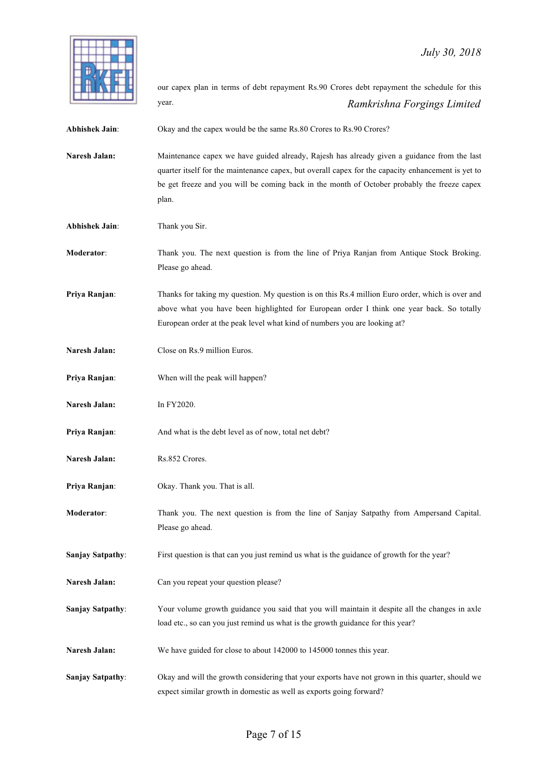

 *Ramkrishna Forgings Limited* our capex plan in terms of debt repayment Rs.90 Crores debt repayment the schedule for this year.

Abhishek Jain: Okay and the capex would be the same Rs.80 Crores to Rs.90 Crores?

**Naresh Jalan:** Maintenance capex we have guided already, Rajesh has already given a guidance from the last quarter itself for the maintenance capex, but overall capex for the capacity enhancement is yet to be get freeze and you will be coming back in the month of October probably the freeze capex plan.

**Abhishek Jain**: Thank you Sir.

**Moderator**: Thank you. The next question is from the line of Priya Ranjan from Antique Stock Broking. Please go ahead.

**Priya Ranjan:** Thanks for taking my question. My question is on this Rs.4 million Euro order, which is over and above what you have been highlighted for European order I think one year back. So totally European order at the peak level what kind of numbers you are looking at?

- **Naresh Jalan:** Close on Rs.9 million Euros.
- **Priya Ranjan**: When will the peak will happen?
- **Naresh Jalan:** In FY2020.
- **Priya Ranjan:** And what is the debt level as of now, total net debt?
- **Naresh Jalan:** Rs.852 Crores.
- **Priya Ranjan**: Okay. Thank you. That is all.
- **Moderator**: Thank you. The next question is from the line of Sanjay Satpathy from Ampersand Capital. Please go ahead.

**Sanjay Satpathy:** First question is that can you just remind us what is the guidance of growth for the year?

- **Naresh Jalan:** Can you repeat your question please?
- **Sanjay Satpathy**: Your volume growth guidance you said that you will maintain it despite all the changes in axle load etc., so can you just remind us what is the growth guidance for this year?
- **Naresh Jalan:** We have guided for close to about 142000 to 145000 tonnes this year.
- **Sanjay Satpathy**: Okay and will the growth considering that your exports have not grown in this quarter, should we expect similar growth in domestic as well as exports going forward?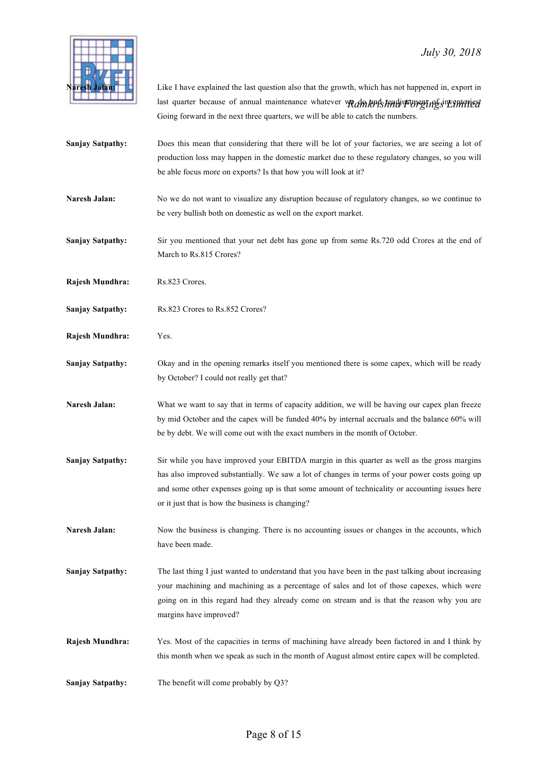

last quarter because of annual maintenance whatever we*dments hadi* Foregi*ng s<sup>in</sup>ventoried* Like I have explained the last question also that the growth, which has not happened in, export in Going forward in the next three quarters, we will be able to catch the numbers.

- **Sanjay Satpathy:** Does this mean that considering that there will be lot of your factories, we are seeing a lot of production loss may happen in the domestic market due to these regulatory changes, so you will be able focus more on exports? Is that how you will look at it?
- **Naresh Jalan:** No we do not want to visualize any disruption because of regulatory changes, so we continue to be very bullish both on domestic as well on the export market.
- **Sanjay Satpathy:** Sir you mentioned that your net debt has gone up from some Rs.720 odd Crores at the end of March to Rs.815 Crores?

**Rajesh Mundhra:** Rs.823 Crores.

- Sanjay Satpathy: Rs.823 Crores to Rs.852 Crores?
- **Rajesh Mundhra:** Yes.
- **Sanjay Satpathy:** Okay and in the opening remarks itself you mentioned there is some capex, which will be ready by October? I could not really get that?
- Naresh Jalan: What we want to say that in terms of capacity addition, we will be having our capex plan freeze by mid October and the capex will be funded 40% by internal accruals and the balance 60% will be by debt. We will come out with the exact numbers in the month of October.
- **Sanjay Satpathy:** Sir while you have improved your EBITDA margin in this quarter as well as the gross margins has also improved substantially. We saw a lot of changes in terms of your power costs going up and some other expenses going up is that some amount of technicality or accounting issues here or it just that is how the business is changing?
- Naresh Jalan: Now the business is changing. There is no accounting issues or changes in the accounts, which have been made.
- **Sanjay Satpathy:** The last thing I just wanted to understand that you have been in the past talking about increasing your machining and machining as a percentage of sales and lot of those capexes, which were going on in this regard had they already come on stream and is that the reason why you are margins have improved?
- **Rajesh Mundhra:** Yes. Most of the capacities in terms of machining have already been factored in and I think by this month when we speak as such in the month of August almost entire capex will be completed.
- **Sanjay Satpathy:** The benefit will come probably by Q3?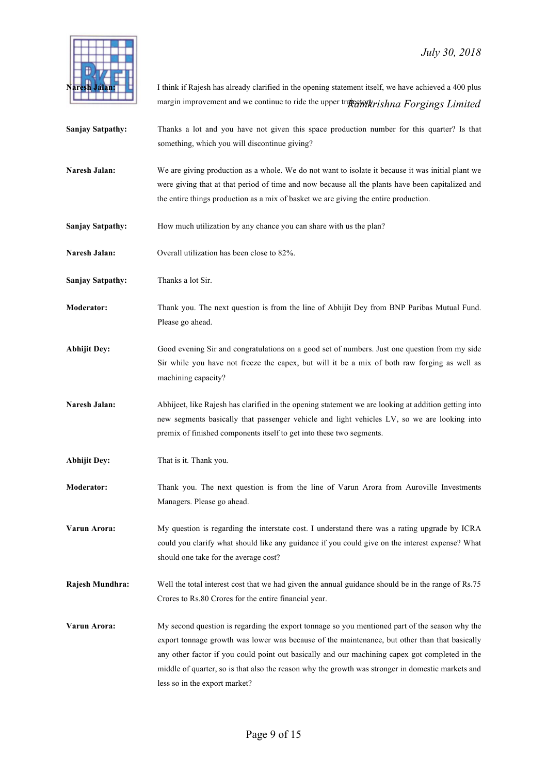

margin improvement and we continue to ride the upper tra**jectivik**ris*hna Forgings Limited* I think if Rajesh has already clarified in the opening statement itself, we have achieved a 400 plus

- **Sanjay Satpathy:** Thanks a lot and you have not given this space production number for this quarter? Is that something, which you will discontinue giving?
- **Naresh Jalan:** We are giving production as a whole. We do not want to isolate it because it was initial plant we were giving that at that period of time and now because all the plants have been capitalized and the entire things production as a mix of basket we are giving the entire production.
- **Sanjay Satpathy:** How much utilization by any chance you can share with us the plan?
- **Naresh Jalan:** Overall utilization has been close to 82%.
- **Sanjay Satpathy:** Thanks a lot Sir.
- **Moderator:** Thank you. The next question is from the line of Abhijit Dey from BNP Paribas Mutual Fund. Please go ahead.
- **Abhijit Dey:** Good evening Sir and congratulations on a good set of numbers. Just one question from my side Sir while you have not freeze the capex, but will it be a mix of both raw forging as well as machining capacity?
- **Naresh Jalan:** Abhijeet, like Rajesh has clarified in the opening statement we are looking at addition getting into new segments basically that passenger vehicle and light vehicles LV, so we are looking into premix of finished components itself to get into these two segments.
- **Abhijit Dey:** That is it. Thank you.
- **Moderator:** Thank you. The next question is from the line of Varun Arora from Auroville Investments Managers. Please go ahead.
- **Varun Arora:** My question is regarding the interstate cost. I understand there was a rating upgrade by ICRA could you clarify what should like any guidance if you could give on the interest expense? What should one take for the average cost?
- **Rajesh Mundhra:** Well the total interest cost that we had given the annual guidance should be in the range of Rs.75 Crores to Rs.80 Crores for the entire financial year.
- **Varun Arora:** My second question is regarding the export tonnage so you mentioned part of the season why the export tonnage growth was lower was because of the maintenance, but other than that basically any other factor if you could point out basically and our machining capex got completed in the middle of quarter, so is that also the reason why the growth was stronger in domestic markets and less so in the export market?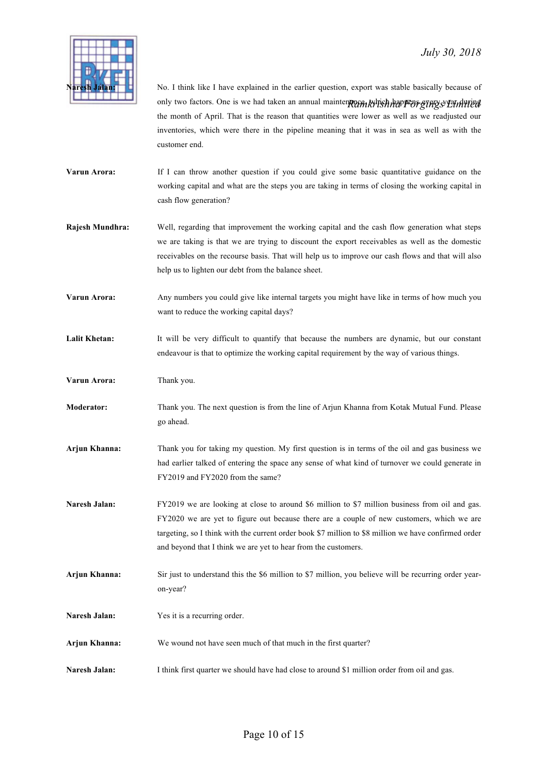

only two factors. One is we had taken an annual mainten**p**erent which happens grags than the No. I think like I have explained in the earlier question, export was stable basically because of the month of April. That is the reason that quantities were lower as well as we readjusted our inventories, which were there in the pipeline meaning that it was in sea as well as with the customer end.

- **Varun Arora:** If I can throw another question if you could give some basic quantitative guidance on the working capital and what are the steps you are taking in terms of closing the working capital in cash flow generation?
- **Rajesh Mundhra:** Well, regarding that improvement the working capital and the cash flow generation what steps we are taking is that we are trying to discount the export receivables as well as the domestic receivables on the recourse basis. That will help us to improve our cash flows and that will also help us to lighten our debt from the balance sheet.
- **Varun Arora:** Any numbers you could give like internal targets you might have like in terms of how much you want to reduce the working capital days?
- Lalit Khetan: It will be very difficult to quantify that because the numbers are dynamic, but our constant endeavour is that to optimize the working capital requirement by the way of various things.
- **Varun Arora:** Thank you.
- **Moderator:** Thank you. The next question is from the line of Arjun Khanna from Kotak Mutual Fund. Please go ahead.
- **Arjun Khanna:** Thank you for taking my question. My first question is in terms of the oil and gas business we had earlier talked of entering the space any sense of what kind of turnover we could generate in FY2019 and FY2020 from the same?
- Naresh Jalan: FY2019 we are looking at close to around \$6 million to \$7 million business from oil and gas. FY2020 we are yet to figure out because there are a couple of new customers, which we are targeting, so I think with the current order book \$7 million to \$8 million we have confirmed order and beyond that I think we are yet to hear from the customers.
- **Arjun Khanna:** Sir just to understand this the \$6 million to \$7 million, you believe will be recurring order yearon-year?
- **Naresh Jalan:** Yes it is a recurring order.
- **Arjun Khanna:** We wound not have seen much of that much in the first quarter?
- Naresh Jalan: I think first quarter we should have had close to around \$1 million order from oil and gas.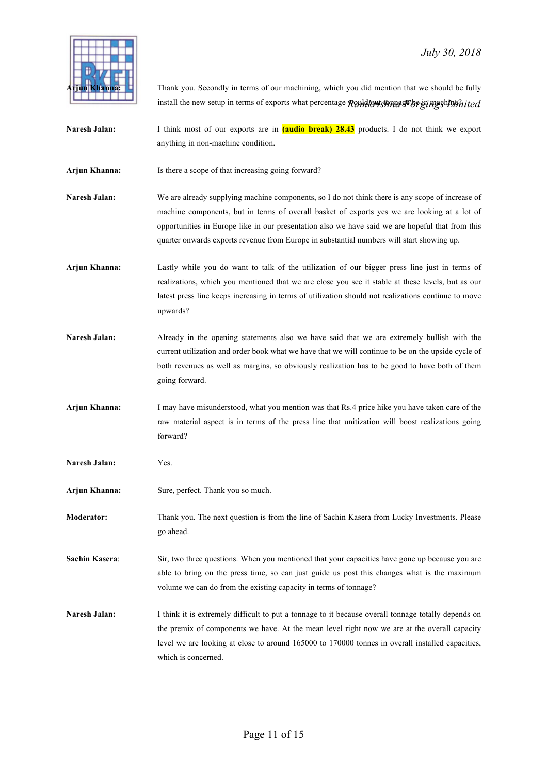

install the new setup in terms of exports what percentage **Rendle tonnage be energy in machine definited** Thank you. Secondly in terms of our machining, which you did mention that we should be fully

- Naresh Jalan: I think most of our exports are in **(audio break) 28.43** products. I do not think we export anything in non-machine condition.
- **Arjun Khanna:** Is there a scope of that increasing going forward?
- **Naresh Jalan:** We are already supplying machine components, so I do not think there is any scope of increase of machine components, but in terms of overall basket of exports yes we are looking at a lot of opportunities in Europe like in our presentation also we have said we are hopeful that from this quarter onwards exports revenue from Europe in substantial numbers will start showing up.
- **Arjun Khanna:** Lastly while you do want to talk of the utilization of our bigger press line just in terms of realizations, which you mentioned that we are close you see it stable at these levels, but as our latest press line keeps increasing in terms of utilization should not realizations continue to move upwards?
- **Naresh Jalan:** Already in the opening statements also we have said that we are extremely bullish with the current utilization and order book what we have that we will continue to be on the upside cycle of both revenues as well as margins, so obviously realization has to be good to have both of them going forward.
- **Arjun Khanna:** I may have misunderstood, what you mention was that Rs.4 price hike you have taken care of the raw material aspect is in terms of the press line that unitization will boost realizations going forward?
- **Naresh Jalan:** Yes.
- **Arjun Khanna:** Sure, perfect. Thank you so much.
- **Moderator:** Thank you. The next question is from the line of Sachin Kasera from Lucky Investments. Please go ahead.
- **Sachin Kasera:** Sir, two three questions. When you mentioned that your capacities have gone up because you are able to bring on the press time, so can just guide us post this changes what is the maximum volume we can do from the existing capacity in terms of tonnage?
- **Naresh Jalan:** I think it is extremely difficult to put a tonnage to it because overall tonnage totally depends on the premix of components we have. At the mean level right now we are at the overall capacity level we are looking at close to around 165000 to 170000 tonnes in overall installed capacities, which is concerned.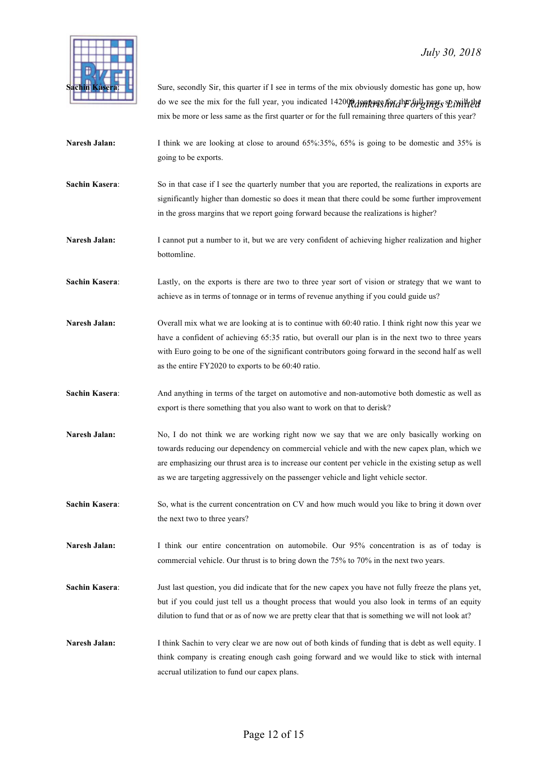

do we see the mix for the full year, you indicated 142000 tonnages for the bilg they s Diville the Sure, secondly Sir, this quarter if I see in terms of the mix obviously domestic has gone up, how mix be more or less same as the first quarter or for the full remaining three quarters of this year?

- **Naresh Jalan:** I think we are looking at close to around 65%:35%, 65% is going to be domestic and 35% is going to be exports.
- **Sachin Kasera:** So in that case if I see the quarterly number that you are reported, the realizations in exports are significantly higher than domestic so does it mean that there could be some further improvement in the gross margins that we report going forward because the realizations is higher?

**Naresh Jalan:** I cannot put a number to it, but we are very confident of achieving higher realization and higher bottomline.

**Sachin Kasera**: Lastly, on the exports is there are two to three year sort of vision or strategy that we want to achieve as in terms of tonnage or in terms of revenue anything if you could guide us?

**Naresh Jalan:** Overall mix what we are looking at is to continue with 60:40 ratio. I think right now this year we have a confident of achieving 65:35 ratio, but overall our plan is in the next two to three years with Euro going to be one of the significant contributors going forward in the second half as well as the entire FY2020 to exports to be 60:40 ratio.

**Sachin Kasera**: And anything in terms of the target on automotive and non-automotive both domestic as well as export is there something that you also want to work on that to derisk?

- Naresh Jalan: No, I do not think we are working right now we say that we are only basically working on towards reducing our dependency on commercial vehicle and with the new capex plan, which we are emphasizing our thrust area is to increase our content per vehicle in the existing setup as well as we are targeting aggressively on the passenger vehicle and light vehicle sector.
- **Sachin Kasera:** So, what is the current concentration on CV and how much would you like to bring it down over the next two to three years?

**Naresh Jalan:** I think our entire concentration on automobile. Our 95% concentration is as of today is commercial vehicle. Our thrust is to bring down the 75% to 70% in the next two years.

**Sachin Kasera**: Just last question, you did indicate that for the new capex you have not fully freeze the plans yet, but if you could just tell us a thought process that would you also look in terms of an equity dilution to fund that or as of now we are pretty clear that that is something we will not look at?

**Naresh Jalan:** I think Sachin to very clear we are now out of both kinds of funding that is debt as well equity. I think company is creating enough cash going forward and we would like to stick with internal accrual utilization to fund our capex plans.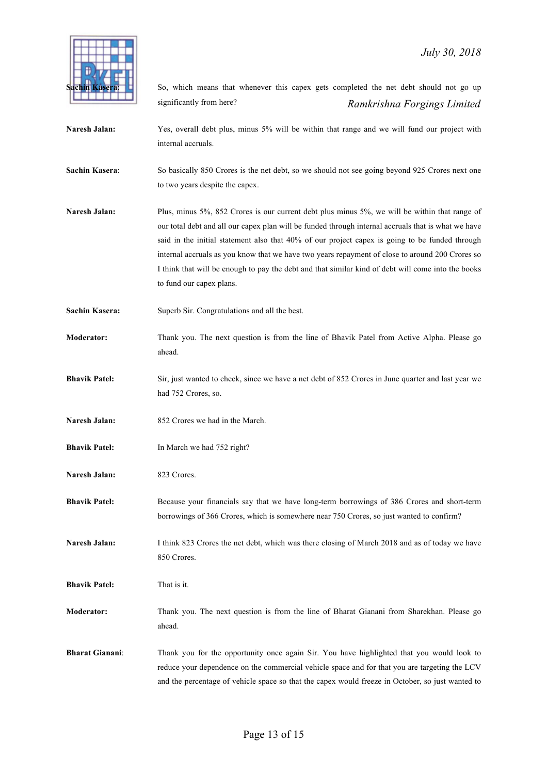

 *Ramkrishna Forgings Limited* So, which means that whenever this capex gets completed the net debt should not go up significantly from here? **Naresh Jalan:** Yes, overall debt plus, minus 5% will be within that range and we will fund our project with internal accruals. **Sachin Kasera:** So basically 850 Crores is the net debt, so we should not see going beyond 925 Crores next one to two years despite the capex. Naresh Jalan: Plus, minus 5%, 852 Crores is our current debt plus minus 5%, we will be within that range of our total debt and all our capex plan will be funded through internal accruals that is what we have said in the initial statement also that 40% of our project capex is going to be funded through internal accruals as you know that we have two years repayment of close to around 200 Crores so I think that will be enough to pay the debt and that similar kind of debt will come into the books to fund our capex plans. Sachin Kasera: Superb Sir. Congratulations and all the best. **Moderator:** Thank you. The next question is from the line of Bhavik Patel from Active Alpha. Please go ahead. **Bhavik Patel:** Sir, just wanted to check, since we have a net debt of 852 Crores in June quarter and last year we had 752 Crores, so. **Naresh Jalan:** 852 Crores we had in the March. **Bhavik Patel:** In March we had 752 right? **Naresh Jalan:** 823 Crores. **Bhavik Patel:** Because your financials say that we have long-term borrowings of 386 Crores and short-term borrowings of 366 Crores, which is somewhere near 750 Crores, so just wanted to confirm? Naresh Jalan: I think 823 Crores the net debt, which was there closing of March 2018 and as of today we have 850 Crores. **Bhavik Patel:** That is it. **Moderator:** Thank you. The next question is from the line of Bharat Gianani from Sharekhan. Please go ahead. **Bharat Gianani**: Thank you for the opportunity once again Sir. You have highlighted that you would look to reduce your dependence on the commercial vehicle space and for that you are targeting the LCV

and the percentage of vehicle space so that the capex would freeze in October, so just wanted to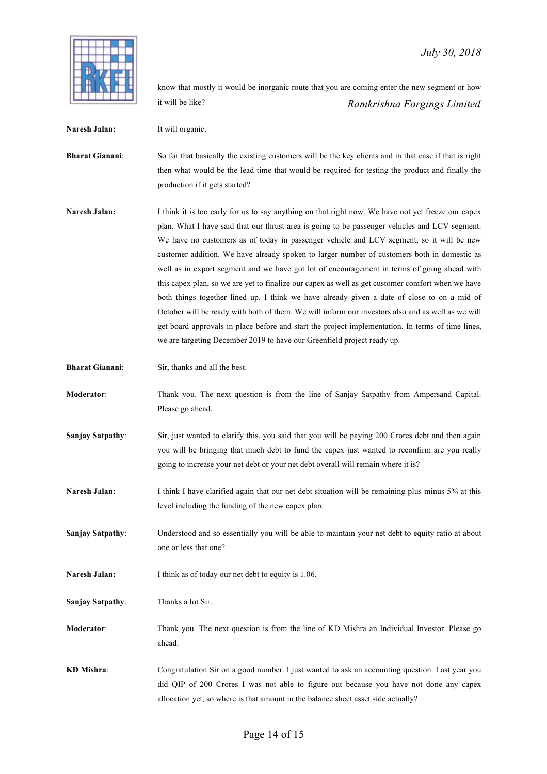*Ramkrishna Forgings Limited* know that mostly it would be inorganic route that you are coming enter the new segment or how it will be like?

**Naresh Jalan:** It will organic.

**Bharat Gianani**: So for that basically the existing customers will be the key clients and in that case if that is right then what would be the lead time that would be required for testing the product and finally the production if it gets started?

Naresh Jalan: I think it is too early for us to say anything on that right now. We have not yet freeze our capex plan. What I have said that our thrust area is going to be passenger vehicles and LCV segment. We have no customers as of today in passenger vehicle and LCV segment, so it will be new customer addition. We have already spoken to larger number of customers both in domestic as well as in export segment and we have got lot of encouragement in terms of going ahead with this capex plan, so we are yet to finalize our capex as well as get customer comfort when we have both things together lined up. I think we have already given a date of close to on a mid of October will be ready with both of them. We will inform our investors also and as well as we will get board approvals in place before and start the project implementation. In terms of time lines, we are targeting December 2019 to have our Greenfield project ready up.

**Bharat Gianani:** Sir, thanks and all the best.

**Moderator**: Thank you. The next question is from the line of Sanjay Satpathy from Ampersand Capital. Please go ahead.

- **Sanjay Satpathy:** Sir, just wanted to clarify this, you said that you will be paying 200 Crores debt and then again you will be bringing that much debt to fund the capex just wanted to reconfirm are you really going to increase your net debt or your net debt overall will remain where it is?
- **Naresh Jalan:** I think I have clarified again that our net debt situation will be remaining plus minus 5% at this level including the funding of the new capex plan.

**Sanjay Satpathy**: Understood and so essentially you will be able to maintain your net debt to equity ratio at about one or less that one?

Naresh Jalan: I think as of today our net debt to equity is 1.06.

**Sanjay Satpathy**: Thanks a lot Sir.

**Moderator:** Thank you. The next question is from the line of KD Mishra an Individual Investor. Please go ahead.

**KD Mishra**: Congratulation Sir on a good number. I just wanted to ask an accounting question. Last year you did QIP of 200 Crores I was not able to figure out because you have not done any capex allocation yet, so where is that amount in the balance sheet asset side actually?